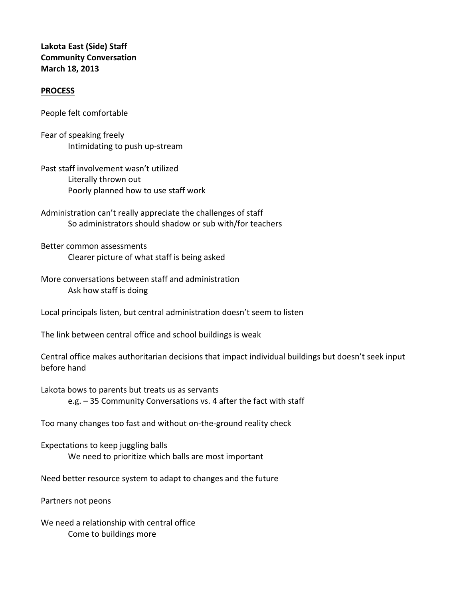## **Lakota East (Side) Staff Community Conversation March 18, 2013**

## **PROCESS**

People felt comfortable

Fear of speaking freely Intimidating to push up‐stream

Past staff involvement wasn't utilized Literally thrown out Poorly planned how to use staff work

Administration can't really appreciate the challenges of staff So administrators should shadow or sub with/for teachers

Better common assessments Clearer picture of what staff is being asked

More conversations between staff and administration Ask how staff is doing

Local principals listen, but central administration doesn't seem to listen

The link between central office and school buildings is weak

Central office makes authoritarian decisions that impact individual buildings but doesn't seek input before hand

Lakota bows to parents but treats us as servants e.g. – 35 Community Conversations vs. 4 after the fact with staff

Too many changes too fast and without on‐the‐ground reality check

Expectations to keep juggling balls We need to prioritize which balls are most important

Need better resource system to adapt to changes and the future

Partners not peons

We need a relationship with central office Come to buildings more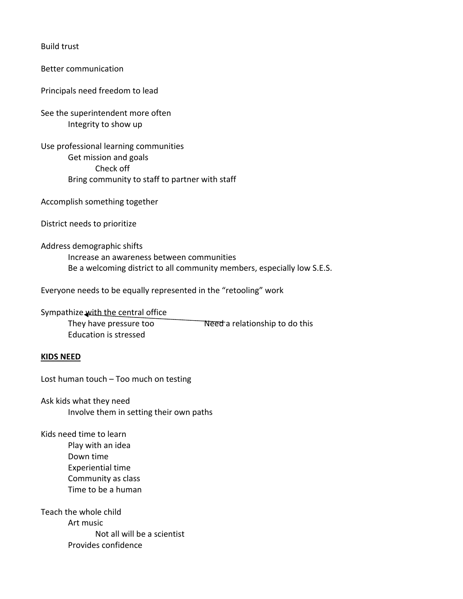Build trust

Better communication

Principals need freedom to lead

See the superintendent more often Integrity to show up

Use professional learning communities Get mission and goals Check off Bring community to staff to partner with staff

Accomplish something together

District needs to prioritize

Address demographic shifts Increase an awareness between communities Be a welcoming district to all community members, especially low S.E.S.

Everyone needs to be equally represented in the "retooling" work

Sympathize with the central office

They have pressure too **Need** a relationship to do this Education is stressed

## **KIDS NEED**

Lost human touch – Too much on testing

Ask kids what they need Involve them in setting their own paths

Kids need time to learn Play with an idea Down time Experiential time Community as class Time to be a human

Teach the whole child Art music Not all will be a scientist Provides confidence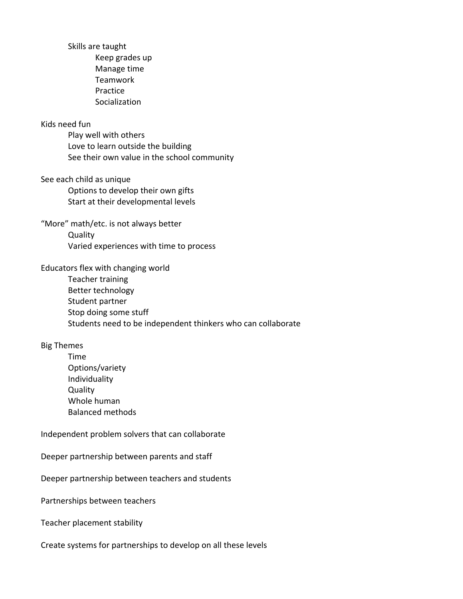Skills are taught Keep grades up Manage time Teamwork Practice Socialization Kids need fun Play well with others Love to learn outside the building See their own value in the school community See each child as unique Options to develop their own gifts Start at their developmental levels "More" math/etc. is not always better **Quality** Varied experiences with time to process Educators flex with changing world Teacher training Better technology Student partner Stop doing some stuff Students need to be independent thinkers who can collaborate Big Themes Time Options/variety Individuality **Quality** Whole human Balanced methods Independent problem solvers that can collaborate Deeper partnership between parents and staff Deeper partnership between teachers and students Partnerships between teachers

Teacher placement stability

Create systems for partnerships to develop on all these levels